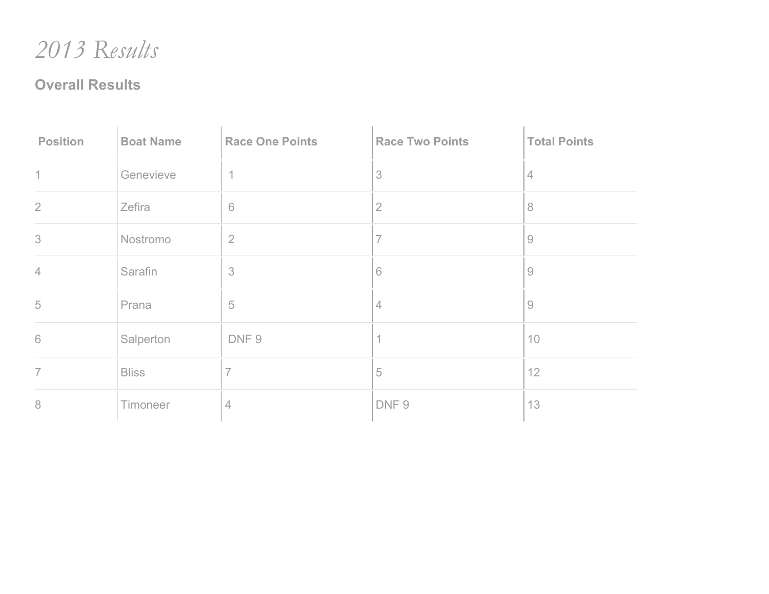*Results*

## **Overall Results**

| <b>Position</b> | <b>Boat Name</b> | <b>Race One Points</b>   | <b>Race Two Points</b> | <b>Total Points</b> |
|-----------------|------------------|--------------------------|------------------------|---------------------|
| $\mathbf 1$     | Genevieve        | $\overline{\phantom{a}}$ | 3                      | $\overline{4}$      |
| $\overline{2}$  | Zefira           | $6\,$                    | $\overline{2}$         | 8                   |
| 3               | Nostromo         | $\overline{2}$           | 7                      | 9                   |
| $\overline{4}$  | Sarafin          | $\mathcal S$             | 6                      | $\overline{9}$      |
| 5               | Prana            | $\sqrt{5}$               | 4                      | $\overline{9}$      |
| $\mathbf 6$     | Salperton        | DNF9                     |                        | 10                  |
| $\overline{7}$  | <b>Bliss</b>     |                          | 5                      | 12                  |
| 8               | Timoneer         | 4                        | DNF9                   | 13                  |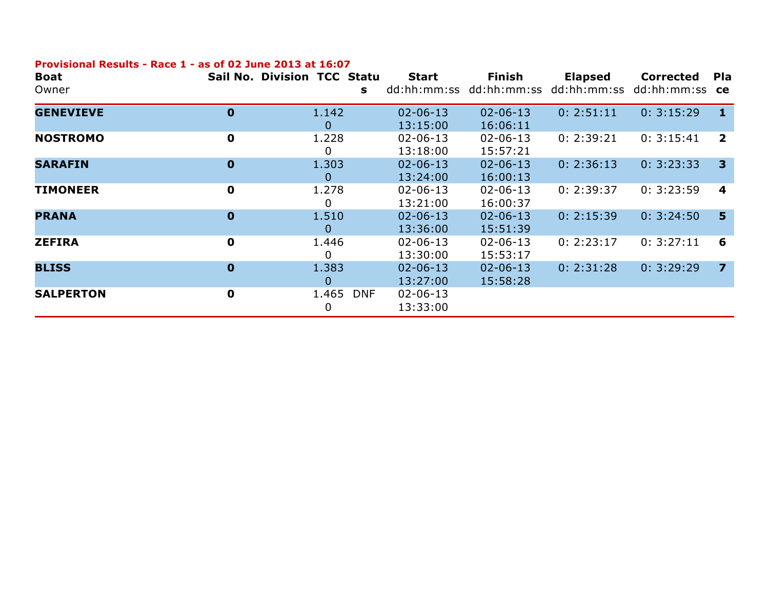## **Provisional Results - Race 1 - as of 02 June 2013 at 16:07**

| <b>Boat</b><br>Owner | Sail No. Division TCC Statu | s                        | <b>Start</b><br>dd:hh:mm:ss | <b>Finish</b>              | <b>Elapsed</b><br>dd:hh:mm:ss dd:hh:mm:ss | <b>Corrected</b><br>dd:hh:mm:ss <b>ce</b> | <b>Pla</b>              |
|----------------------|-----------------------------|--------------------------|-----------------------------|----------------------------|-------------------------------------------|-------------------------------------------|-------------------------|
| <b>GENEVIEVE</b>     | 0                           | 1.142<br>$\mathbf 0$     | $02 - 06 - 13$<br>13:15:00  | $02 - 06 - 13$<br>16:06:11 | 0: 2:51:11                                | 0: 3:15:29                                | $\mathbf 1$             |
| <b>NOSTROMO</b>      | 0                           | 1.228<br>0               | $02 - 06 - 13$<br>13:18:00  | $02 - 06 - 13$<br>15:57:21 | 0: 2:39:21                                | 0: 3:15:41                                | $\overline{2}$          |
| <b>SARAFIN</b>       | $\mathbf 0$                 | 1.303<br>0               | $02 - 06 - 13$<br>13:24:00  | $02 - 06 - 13$<br>16:00:13 | 0: 2:36:13                                | 0: 3:23:33                                | $\overline{\mathbf{3}}$ |
| <b>TIMONEER</b>      | 0                           | 1.278<br>0               | $02 - 06 - 13$<br>13:21:00  | $02 - 06 - 13$<br>16:00:37 | 0: 2:39:37                                | 0: 3:23:59                                | $\overline{\mathbf{4}}$ |
| <b>PRANA</b>         | $\mathbf 0$                 | 1.510<br>0               | $02 - 06 - 13$<br>13:36:00  | $02 - 06 - 13$<br>15:51:39 | 0: 2:15:39                                | 0: 3:24:50                                | 5                       |
| <b>ZEFIRA</b>        | 0                           | 1.446<br>0               | $02 - 06 - 13$<br>13:30:00  | $02 - 06 - 13$<br>15:53:17 | 0: 2:23:17                                | 0: 3:27:11                                | 6                       |
| <b>BLISS</b>         | $\mathbf 0$                 | 1.383<br>$\overline{0}$  | $02 - 06 - 13$<br>13:27:00  | $02 - 06 - 13$<br>15:58:28 | 0: 2:31:28                                | 0: 3:29:29                                | $\overline{7}$          |
| <b>SALPERTON</b>     | 0                           | 1.465<br><b>DNF</b><br>0 | $02 - 06 - 13$<br>13:33:00  |                            |                                           |                                           |                         |